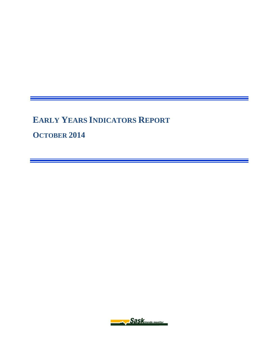**EARLY YEARS INDICATORS REPORT**

**OCTOBER 2014** 

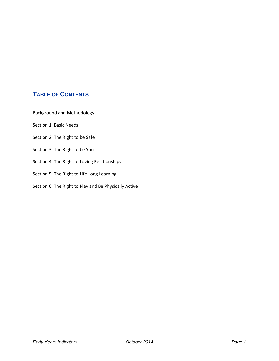# **TABLE OF CONTENTS**

Background and Methodology

Section 1: Basic Needs

- Section 2: The Right to be Safe
- Section 3: The Right to be You
- Section 4: The Right to Loving Relationships
- Section 5: The Right to Life Long Learning
- Section 6: The Right to Play and Be Physically Active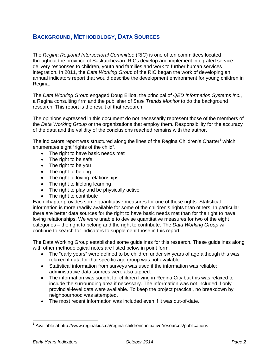#### **BACKGROUND, METHODOLOGY, DATA SOURCES**

The *Regina Regional Intersectoral Committee* (RIC) is one of ten committees located throughout the province of Saskatchewan. RICs develop and implement integrated service delivery responses to children, youth and families and work to further human services integration. In 2011, the *Data Working Group* of the RIC began the work of developing an annual indicators report that would describe the development environment for young children in Regina.

The *Data Working Group* engaged Doug Elliott, the principal of *QED Information Systems Inc.*, a Regina consulting firm and the publisher of *Sask Trends Monitor* to do the background research. This report is the result of that research.

The opinions expressed in this document do not necessarily represent those of the members of the *Data Working Group* or the organizations that employ them. Responsibility for the accuracy of the data and the validity of the conclusions reached remains with the author.

The indicators report was structured along the lines of the Regina Children's Charter<sup>1</sup> which enumerates eight "rights of the child".

- The right to have basic needs met
- The right to be safe
- The right to be you
- The right to belong
- The right to loving relationships
- The right to lifelong learning
- The right to play and be physically active
- The right to contribute

Each chapter provides some quantitative measures for one of these rights. Statistical information is more readily available for some of the children's rights than others. In particular, there are better data sources for the right to have basic needs met than for the right to have loving relationships. We were unable to devise quantitative measures for two of the eight categories – the right to belong and the right to contribute. The *Data Working Group* will continue to search for indicators to supplement those in this report.

The Data Working Group established some guidelines for this research. These guidelines along with other methodological notes are listed below in point form.

- The "early years" were defined to be children under six years of age although this was relaxed if data for that specific age group was not available.
- Statistical information from surveys was used if the information was reliable; administrative data sources were also tapped.
- The information was sought for children living in Regina City but this was relaxed to include the surrounding area if necessary. The information was not included if only provincial-level data were available. To keep the project practical, no breakdown by neighbourhood was attempted.
- The most recent information was included even if it was out-of-date.

-

<sup>&</sup>lt;sup>1</sup> Available at http://www.reginakids.ca/regina-childrens-initiative/resources/publications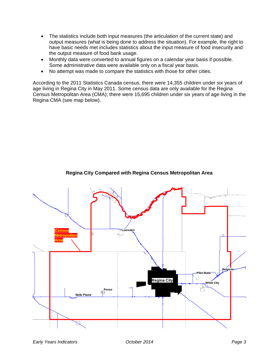- The statistics include both input measures (the articulation of the current state) and output measures (what is being done to address the situation). For example, the right to have basic needs met includes statistics about the input measure of food insecurity and the output measure of food bank usage.
- Monthly data were converted to annual figures on a calendar year basis if possible. Some administrative data were available only on a fiscal year basis.
- No attempt was made to compare the statistics with those for other cities.

According to the 2011 Statistics Canada census, there were 14,355 children under six years of age living in Regina City in May 2011. Some census data are only available for the Regina Census Metropolitan Area (CMA); there were 15,695 children under six years of age living in the Regina CMA (see map below).



**Regina City Compared with Regina Census Metropolitan Area**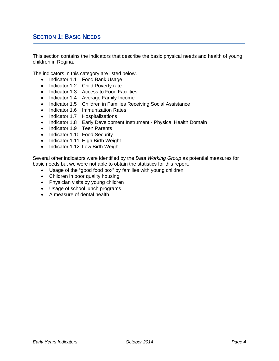#### **SECTION 1: BASIC NEEDS**

This section contains the indicators that describe the basic physical needs and health of young children in Regina.

The indicators in this category are listed below.

- Indicator 1.1 Food Bank Usage
- Indicator 1.2 Child Poverty rate
- Indicator 1.3 Access to Food Facilities
- Indicator 1.4 Average Family Income
- Indicator 1.5 Children in Families Receiving Social Assistance
- Indicator 1.6 Immunization Rates
- Indicator 1.7 Hospitalizations
- Indicator 1.8 Early Development Instrument Physical Health Domain
- Indicator 1.9 Teen Parents
- Indicator 1.10 Food Security
- Indicator 1.11 High Birth Weight
- Indicator 1.12 Low Birth Weight

Several other indicators were identified by the *Data Working Group* as potential measures for basic needs but we were not able to obtain the statistics for this report.

- Usage of the "good food box" by families with young children
- Children in poor quality housing
- Physician visits by young children
- Usage of school lunch programs
- A measure of dental health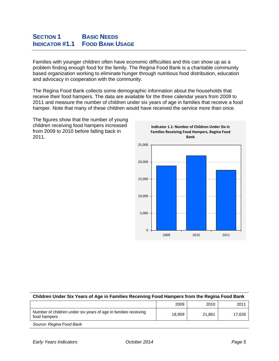#### **SECTION 1** BASIC NEEDS **INDICATOR #1.1 FOOD BANK USAGE**

Families with younger children often have economic difficulties and this can show up as a problem finding enough food for the family. The Regina Food Bank is a charitable community based organization working to eliminate hunger through nutritious food distribution, education and advocacy in cooperation with the community.

The Regina Food Bank collects some demographic information about the households that receive their food hampers. The data are available for the three calendar years from 2009 to 2011 and measure the number of children under six years of age in families that receive a food hamper. Note that many of these children would have received the service more than once.

The figures show that the number of young children receiving food hampers increased from 2009 to 2010 before falling back in 2011.



| Children Under Six Years of Age in Families Receiving Food Hampers from the Regina Food Bank |        |        |        |  |  |
|----------------------------------------------------------------------------------------------|--------|--------|--------|--|--|
|                                                                                              | 2009   | 2010   | 2011   |  |  |
| Number of children under six years of age in families receiving<br>food hampers              | 18.909 | 21.861 | 17.626 |  |  |
| Source: Regina Food Bank                                                                     |        |        |        |  |  |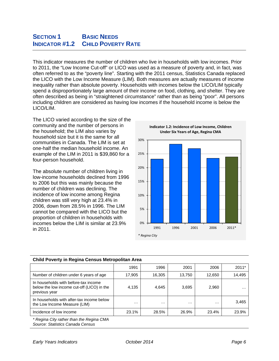#### **SECTION 1** BASIC NEEDS **INDICATOR #1.2 CHILD POVERTY RATE**

This indicator measures the number of children who live in households with low incomes. Prior to 2011, the "Low Income Cut-off" or LICO was used as a measure of poverty and, in fact, was often referred to as the "poverty line". Starting with the 2011 census, Statistics Canada replaced the LICO with the Low Income Measure (LIM). Both measures are actually measures of income inequality rather than absolute poverty. Households with incomes below the LICO/LIM typically spend a disproportionately large amount of their income on food, clothing, and shelter. They are often described as being in "straightened circumstance" rather than as being "poor". All persons including children are considered as having low incomes if the household income is below the LICO/LIM.

The LICO varied according to the size of the community and the number of persons in the household; the LIM also varies by household size but it is the same for all communities in Canada. The LIM is set at one-half the median household income. An example of the LIM in 2011 is \$39,860 for a four-person household.

The absolute number of children living in low-income households declined from 1996 to 2006 but this was mainly because the number of children was declining. The incidence of low income among Regina children was still very high at 23.4% in 2006, down from 28.5% in 1996. The LIM cannot be compared with the LICO but the proportion of children in households with incomes below the LIM is similar at 23.9% in 2011.



**Indicator 1.2: Incidence of Low Income, Children**

| United Vector in Regnia Ochous McGopontan Arca                                                      |          |          |          |          |          |
|-----------------------------------------------------------------------------------------------------|----------|----------|----------|----------|----------|
|                                                                                                     | 1991     | 1996     | 2001     | 2006     | $2011*$  |
| Number of children under 6 years of age                                                             | 17,905   | 16,305   | 13.750   | 12,650   | 14,495   |
| In households with before-tax income<br>below the low income cut-off (LICO) in the<br>previous year | 4,135    | 4,645    | 3,695    | 2,960    | $\cdots$ |
| In households with after-tax income below<br>the Low Income Measure (LIM)                           | $\cdots$ | $\cdots$ | $\cdots$ | $\cdots$ | 3,465    |
| Incidence of low income                                                                             | 23.1%    | 28.5%    | 26.9%    | 23.4%    | 23.9%    |

#### **Child Poverty in Regina Census Metropolitan Area**

*\* Regina City rather than the Regina CMA Source: Statistics Canada Census*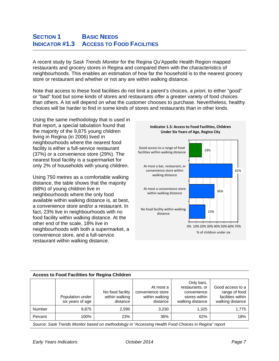# **SECTION 1** BASIC NEEDS **INDICATOR #1.3 ACCESS TO FOOD FACILITIES**

A recent study by *Sask Trends Monitor* for the Regina Qu'Appelle Health Region mapped restaurants and grocery stores in Regina and compared them with the characteristics of neighbourhoods. This enables an estimation of how far the household is to the nearest grocery store or restaurant and whether or not any are within walking distance.

Note that access to these food facilities do not limit a parent's choices, *a priori*, to either "good" or "bad" food but some kinds of stores and restaurants offer a greater variety of food choices than others. A lot will depend on what the customer chooses to purchase. Nevertheless, healthy choices will be harder to find in some kinds of stores and restaurants than in other kinds.

Using the same methodology that is used in that report, a special tabulation found that the majority of the 9,875 young children living in Regina (in 2006) lived in neighbourhoods where the nearest food facility is either a full-service restaurant (37%) or a convenience store (29%). The nearest food facility is a supermarket for only 2% of households with young children.

Using 750 metres as a comfortable walking distance, the table shows that the majority (68%) of young children live in neighbourhoods where the only food available within walking distance is, at best, a convenience store and/or a restaurant. In fact, 23% live in neighbourhoods with no food facility within walking distance. At the other end of the scale, 18% live in neighbourhoods with both a supermarket, a convenience store, and a full-service restaurant within walking distance.



#### **Access to Food Facilities for Regina Children**

|         | Population under<br>six years of age | No food facility<br>within walking<br>distance | At most a<br>convenience store<br>within walking<br>distance | Only bars,<br>restaurants, or<br>convenience<br>stores within<br>walking distance | Good access to a<br>range of food<br>facilities within<br>walking distance |
|---------|--------------------------------------|------------------------------------------------|--------------------------------------------------------------|-----------------------------------------------------------------------------------|----------------------------------------------------------------------------|
| Number  | 9.875                                | 2,595                                          | 3,230                                                        | 1.325                                                                             | 1.775                                                                      |
| Percent | 100%                                 | 23%                                            | 36%                                                          | 62%                                                                               | 18%                                                                        |

*Source: Sask Trends Monitor based on methodology in "Accessing Health Food Choices in Regina" report*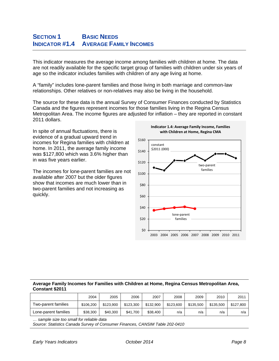# **SECTION 1** BASIC NEEDS **INDICATOR #1.4 AVERAGE FAMILY INCOMES**

This indicator measures the average income among families with children at home. The data are not readily available for the specific target group of families with children under six years of age so the indicator includes families with children of any age living at home.

A "family" includes lone-parent families and those living in both marriage and common-law relationships. Other relatives or non-relatives may also be living in the household.

The source for these data is the annual Survey of Consumer Finances conducted by Statistics Canada and the figures represent incomes for those families living in the Regina Census Metropolitan Area. The income figures are adjusted for inflation – they are reported in constant 2011 dollars.

In spite of annual fluctuations, there is evidence of a gradual upward trend in incomes for Regina families with children at home. In 2011, the average family income was \$127,800 which was 3.6% higher than in was five years earlier.

The incomes for lone-parent families are not available after 2007 but the older figures show that incomes are much lower than in two-parent families and not increasing as quickly.



# **Indicator 1.4: Average Family Income, Families with Children at Home, Regina CMA**

#### **Average Family Incomes for Families with Children at Home, Regina Census Metropolitan Area, Constant \$2011**

|                      | 2004      | 2005      | 2006      | 2007      | 2008      | 2009      | 2010      | 2011      |
|----------------------|-----------|-----------|-----------|-----------|-----------|-----------|-----------|-----------|
| Two-parent families  | \$106.200 | \$123,900 | \$123,300 | \$132,900 | \$123,600 | \$135.500 | \$135,500 | \$127.800 |
| Lone-parent families | \$38,300  | \$40,300  | \$41.700  | \$38,400  | n/a       | n/a       | n/a       | n/a       |

*… sample size too small for reliable data* 

*Source: Statistics Canada Survey of Consumer Finances, CANSIM Table 202-0410*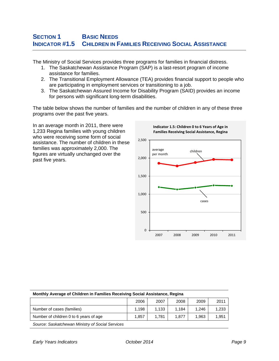# **SECTION 1** BASIC NEEDS **INDICATOR #1.5 CHILDREN IN FAMILIES RECEIVING SOCIAL ASSISTANCE**

The Ministry of Social Services provides three programs for families in financial distress.

- 1. The Saskatchewan Assistance Program (SAP) is a last-resort program of income assistance for families.
- 2. The Transitional Employment Allowance (TEA) provides financial support to people who are participating in employment services or transitioning to a job.
- 3. The Saskatchewan Assured Income for Disability Program (SAID) provides an income for persons with significant long-term disabilities.

The table below shows the number of families and the number of children in any of these three programs over the past five years.

In an average month in 2011, there were 1,233 Regina families with young children who were receiving some form of social assistance. The number of children in these families was approximately 2,000. The figures are virtually unchanged over the past five years.



| Monthly Average of Children in Families Receiving Social Assistance, Regina |       |       |       |       |       |  |  |  |
|-----------------------------------------------------------------------------|-------|-------|-------|-------|-------|--|--|--|
|                                                                             | 2006  | 2007  | 2008  | 2009  | 2011  |  |  |  |
| Number of cases (families)                                                  | 1.198 | 1.133 | 1.184 | 1.246 | 1.233 |  |  |  |
| Number of children 0 to 6 years of age                                      | 1.857 | 1.781 | 1.877 | 1.963 | 1.951 |  |  |  |
| Source: Saskatchewan Ministry of Social Services                            |       |       |       |       |       |  |  |  |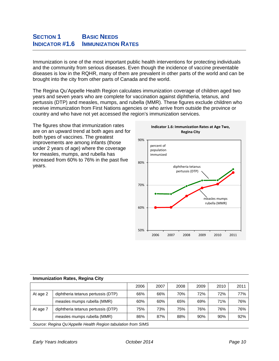Immunization is one of the most important public health interventions for protecting individuals and the community from serious diseases. Even though the incidence of vaccine preventable diseases is low in the RQHR, many of them are prevalent in other parts of the world and can be brought into the city from other parts of Canada and the world.

The Regina Qu'Appelle Health Region calculates immunization coverage of children aged two years and seven years who are complete for vaccination against diphtheria, tetanus, and pertussis (DTP) and measles, mumps, and rubella (MMR). These figures exclude children who receive immunization from First Nations agencies or who arrive from outside the province or country and who have not yet accessed the region's immunization services.

The figures show that immunization rates are on an upward trend at both ages and for both types of vaccines. The greatest improvements are among infants (those under 2 years of age) where the coverage for measles, mumps, and rubella has increased from 60% to 76% in the past five years.



|          |                                                               | 2006 | 2007 | 2008 | 2009 | 2010 | 2011 |
|----------|---------------------------------------------------------------|------|------|------|------|------|------|
| At age 2 | diphtheria tetanus pertussis (DTP)                            | 66%  | 66%  | 70%  | 72%  | 72%  | 77%  |
|          | measles mumps rubella (MMR)                                   | 60%  | 60%  | 65%  | 69%  | 71%  | 76%  |
| At age 7 | diphtheria tetanus pertussis (DTP)                            | 75%  | 73%  | 75%  | 76%  | 76%  | 76%  |
|          | measles mumps rubella (MMR)                                   | 86%  | 87%  | 88%  | 90%  | 90%  | 92%  |
|          | Course: Desire Oullegalle Health Desire tabulation from OILIC |      |      |      |      |      |      |

#### **Immunization Rates, Regina City**

*Source: Regina Qu'Appelle Health Region tabulation from SIMS*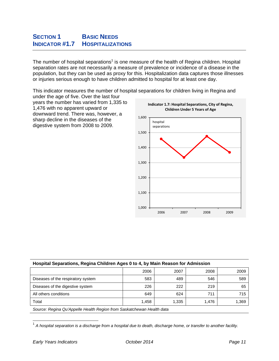# **SECTION 1** BASIC NEEDS **INDICATOR #1.7 HOSPITALIZATIONS**

The number of hospital separations<sup>1</sup> is one measure of the health of Regina children. Hospital separation rates are not necessarily a measure of prevalence or incidence of a disease in the population, but they can be used as proxy for this. Hospitalization data captures those illnesses or injuries serious enough to have children admitted to hospital for at least one day.

This indicator measures the number of hospital separations for children living in Regina and

under the age of five. Over the last four years the number has varied from 1,335 to 1,476 with no apparent upward or downward trend. There was, however, a sharp decline in the diseases of the digestive system from 2008 to 2009.



|  | Hospital Separations, Regina Children Ages 0 to 4, by Main Reason for Admission |
|--|---------------------------------------------------------------------------------|
|  |                                                                                 |

|                                    | 2006  | 2007  | 2008  | 2009  |
|------------------------------------|-------|-------|-------|-------|
| Diseases of the respiratory system | 583   | 489   | 546   | 589   |
| Diseases of the digestive system   | 226   | 222   | 219   | 65    |
| All others conditions              | 649   | 624   | 711   | 715   |
| Total                              | 1.458 | 1.335 | 1.476 | 1,369 |
|                                    |       |       |       |       |

*Source: Regina Qu'Appelle Health Region from Saskatchewan Health data* 

<sup>&</sup>lt;sup>1</sup> A hospital separation is a discharge from a hospital due to death, discharge home, or transfer to another facility.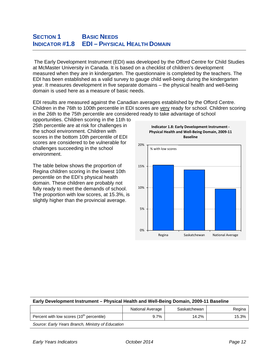# **SECTION 1** BASIC NEEDS **INDICATOR #1.8 EDI – PHYSICAL HEALTH DOMAIN**

 The Early Development Instrument (EDI) was developed by the Offord Centre for Child Studies at McMaster University in Canada. It is based on a checklist of children's development measured when they are in kindergarten. The questionnaire is completed by the teachers. The EDI has been established as a valid survey to gauge child well-being during the kindergarten year. It measures development in five separate domains – the physical health and well-being domain is used here as a measure of basic needs.

EDI results are measured against the Canadian averages established by the Offord Centre. Children in the 76th to 100th percentile in EDI scores are very ready for school. Children scoring in the 26th to the 75th percentile are considered ready to take advantage of school

opportunities. Children scoring in the 11th to 25th percentile are at risk for challenges in the school environment. Children with scores in the bottom 10th percentile of EDI scores are considered to be vulnerable for challenges succeeding in the school environment.

The table below shows the proportion of Regina children scoring in the lowest 10th percentile on the EDI's physical health domain. These children are probably not fully ready to meet the demands of school. The proportion with low scores, at 15.3%, is slightly higher than the provincial average.





#### **Early Development Instrument – Physical Health and Well-Being Domain, 2009-11 Baseline**

|                                                   | National Average | Saskatchewan | Regina |
|---------------------------------------------------|------------------|--------------|--------|
| Percent with low scores $(10th$ percentile)       | 9.7%             | 14.2%        | 15.3%  |
| Source: Early Vears Branch, Ministry of Education |                  |              |        |

*Source: Early Years Branch, Ministry of Education*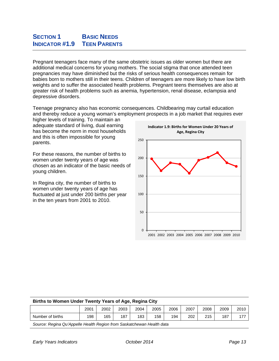# **SECTION 1** BASIC NEEDS **INDICATOR #1.9 TEEN PARENTS**

Pregnant teenagers face many of the same obstetric issues as older women but there are additional medical concerns for young mothers. The social stigma that once attended teen pregnancies may have diminished but the risks of serious health consequences remain for babies born to mothers still in their teens. Children of teenagers are more likely to have low birth weights and to suffer the associated health problems. Pregnant teens themselves are also at greater risk of health problems such as anemia, hypertension, renal disease, eclampsia and depressive disorders.

Teenage pregnancy also has economic consequences. Childbearing may curtail education and thereby reduce a young woman's employment prospects in a job market that requires ever

higher levels of training. To maintain an adequate standard of living, dual earning has become the norm in most households and this is often impossible for young parents.

For these reasons, the number of births to women under twenty years of age was chosen as an indicator of the basic needs of young children.

In Regina city, the number of births to women under twenty years of age has fluctuated at just under 200 births per year in the ten years from 2001 to 2010.



| Births to women Under Twenty Tears of Age, Regina City |      |      |      |      |      |      |      |      |      |      |
|--------------------------------------------------------|------|------|------|------|------|------|------|------|------|------|
|                                                        | 2001 | 2002 | 2003 | 2004 | 2005 | 2006 | 2007 | 2008 | 2009 | 2010 |
| Number of births                                       | 198  | 165  | 187  | 183  | 158  | 194  | 202  | 215  | 187  |      |

*Source: Regina Qu'Appelle Health Region from Saskatchewan Health data* 

**Births to Women Under Twenty Years of Age, Regina City**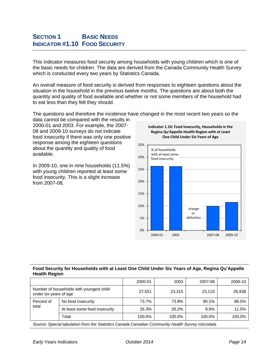#### **SECTION 1** BASIC NEEDS **INDICATOR #1.10 FOOD SECURITY**

This indicator measures food security among households with young children which is one of the basic needs for children. The data are derived from the Canada Community Health Survey which is conducted every two years by Statistics Canada.

An overall measure of food security is derived from responses to eighteen questions about the situation in the household in the previous twelve months. The questions are about both the quantity and quality of food available and whether or not some members of the household had to eat less than they felt they should.

The questions and therefore the incidence have changed in the most recent two years so the

data cannot be compared with the results in 2000-01 and 2003. For example, the 2007- 08 and 2009-10 surveys do not indicate food insecurity if there was only one positive response among the eighteen questions about the quantity and quality of food available.

In 2009-10, one in nine households (11.5%) with young children reported at least some food insecurity. This is a slight increase from 2007-08.





#### **Food Security for Households with at Least One Child Under Six Years of Age, Regina Qu'Appelle Health Region**

|                                                                    |                               | 2000-01 | 2003   | 2007-08 | 2009-10 |
|--------------------------------------------------------------------|-------------------------------|---------|--------|---------|---------|
| Number of households with youngest child<br>under six years of age |                               | 27,551  | 23,315 | 23.110  | 26,938  |
| Percent of<br>total                                                | No food insecurity            | 73.7%   | 73.8%  | 90.1%   | 88.5%   |
|                                                                    | At least some food insecurity | 26.3%   | 26.2%  | 9.9%    | 11.5%   |
|                                                                    | Total                         | 100.0%  | 100.0% | 100.0%  | 100.0%  |
|                                                                    |                               | .       | .   .  |         |         |

*Source: Special tabulation from the Statistics Canada Canadian Community Health Survey microdata*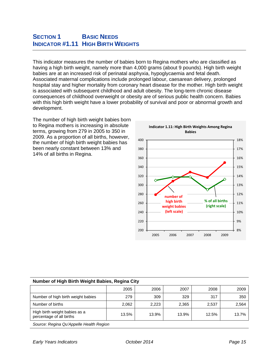#### **SECTION 1** BASIC NEEDS **INDICATOR #1.11 HIGH BIRTH WEIGHTS**

This indicator measures the number of babies born to Regina mothers who are classified as having a high birth weight, namely more than 4,000 grams (about 9 pounds). High birth weight babies are at an increased risk of perinatal asphyxia, hypoglycaemia and fetal death. Associated maternal complications include prolonged labour, caesarean delivery, prolonged hospital stay and higher mortality from coronary heart disease for the mother. High birth weight is associated with subsequent childhood and adult obesity. The long-term chronic disease consequences of childhood overweight or obesity are of serious public health concern. Babies with this high birth weight have a lower probability of survival and poor or abnormal growth and development.

The number of high birth weight babies born to Regina mothers is increasing in absolute terms, growing from 279 in 2005 to 350 in 2009. As a proportion of all births, however, the number of high birth weight babies has been nearly constant between 13% and 14% of all births in Regina.

![](_page_16_Figure_3.jpeg)

| Number of High Birth Weight Babies, Regina City           |       |       |       |       |       |  |  |  |  |
|-----------------------------------------------------------|-------|-------|-------|-------|-------|--|--|--|--|
|                                                           | 2005  | 2006  | 2007  | 2008  | 2009  |  |  |  |  |
| Number of high birth weight babies                        | 279   | 309   | 329   | 317   | 350   |  |  |  |  |
| Number of births                                          | 2,062 | 2.223 | 2.365 | 2,537 | 2,564 |  |  |  |  |
| High birth weight babies as a<br>percentage of all births | 13.5% | 13.9% | 13.9% | 12.5% | 13.7% |  |  |  |  |
| Source: Regins Ou'Annelle Health Region                   |       |       |       |       |       |  |  |  |  |

#### **Number of High Birth Weight Babies, Regina City**

*Source: Regina Qu'Appelle Health Region*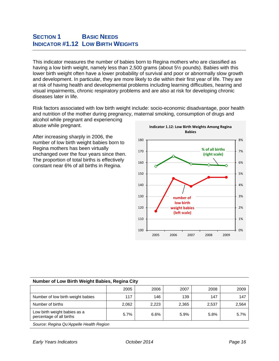### **SECTION 1** BASIC NEEDS **INDICATOR #1.12 LOW BIRTH WEIGHTS**

This indicator measures the number of babies born to Regina mothers who are classified as having a low birth weight, namely less than 2,500 grams (about 5½ pounds). Babies with this lower birth weight often have a lower probability of survival and poor or abnormally slow growth and development. In particular, they are more likely to die within their first year of life. They are at risk of having health and developmental problems including learning difficulties, hearing and visual impairments, chronic respiratory problems and are also at risk for developing chronic diseases later in life.

Risk factors associated with low birth weight include: socio-economic disadvantage, poor health and nutrition of the mother during pregnancy, maternal smoking, consumption of drugs and alcohol while pregnant and experiencing

abuse while pregnant.

After increasing sharply in 2006, the number of low birth weight babies born to Regina mothers has been virtually unchanged over the four years since then. The proportion of total births is effectively constant near 6% of all births in Regina.

![](_page_17_Figure_5.jpeg)

#### **Number of Low Birth Weight Babies, Regina City**

|                                                          | 2005  | 2006  | 2007  | 2008  | 2009  |  |  |
|----------------------------------------------------------|-------|-------|-------|-------|-------|--|--|
| Number of low birth weight babies                        | 117   | 146   | 139   | 147   | 147   |  |  |
| Number of births                                         | 2.062 | 2.223 | 2.365 | 2,537 | 2,564 |  |  |
| Low birth weight babies as a<br>percentage of all births | 5.7%  | 6.6%  | 5.9%  | 5.8%  | 5.7%  |  |  |
| Source: Pogina Ou'Annollo Hoalth Pogion                  |       |       |       |       |       |  |  |

*Source: Regina Qu'Appelle Health Region*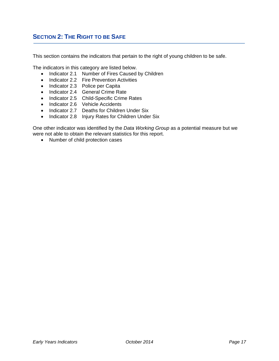#### **SECTION 2: THE RIGHT TO BE SAFE**

This section contains the indicators that pertain to the right of young children to be safe.

The indicators in this category are listed below.

- Indicator 2.1 Number of Fires Caused by Children
- Indicator 2.2 Fire Prevention Activities
- Indicator 2.3 Police per Capita
- Indicator 2.4 General Crime Rate
- Indicator 2.5 Child-Specific Crime Rates
- Indicator 2.6 Vehicle Accidents
- Indicator 2.7 Deaths for Children Under Six
- Indicator 2.8 Injury Rates for Children Under Six

One other indicator was identified by the *Data Working Group* as a potential measure but we were not able to obtain the relevant statistics for this report.

• Number of child protection cases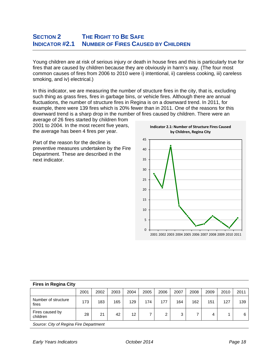#### **SECTION 2 THE RIGHT TO BE SAFE INDICATOR #2.1 NUMBER OF FIRES CAUSED BY CHILDREN**

Young children are at risk of serious injury or death in house fires and this is particularly true for fires that are caused by children because they are obviously in harm's way. (The four most common causes of fires from 2006 to 2010 were i) intentional, ii) careless cooking, iii) careless smoking, and iv) electrical.)

In this indicator, we are measuring the number of structure fires in the city, that is, excluding such thing as grass fires, fires in garbage bins, or vehicle fires. Although there are annual fluctuations, the number of structure fires in Regina is on a downward trend. In 2011, for example, there were 139 fires which is 20% fewer than in 2011. One of the reasons for this downward trend is a sharp drop in the number of fires caused by children. There were an

average of 26 fires started by children from 2001 to 2004. In the most recent five years, the average has been 4 fires per year.

Part of the reason for the decline is preventive measures undertaken by the Fire Department. These are described in the next indicator.

![](_page_19_Figure_5.jpeg)

**Indicator 2.1: Number of Structure Fires Caused**

| U                                  |
|------------------------------------|
| 2001 2002 2003 2004 2005 2006 2007 |
|                                    |
|                                    |
|                                    |
|                                    |
|                                    |
|                                    |
|                                    |
|                                    |
|                                    |
|                                    |
|                                    |
|                                    |

| ι που πι πολιτια σιιγ                        |          |      |      |                   |      |      |      |      |      |      |      |
|----------------------------------------------|----------|------|------|-------------------|------|------|------|------|------|------|------|
|                                              | 2001     | 2002 | 2003 | 2004              | 2005 | 2006 | 2007 | 2008 | 2009 | 2010 | 2011 |
| Number of structure<br>fires                 | 173      | 183  | 165  | 129               | 174  | 177  | 164  | 162  | 151  | 127  | 139  |
| Fires caused by<br>children                  | 28       | 21   | 42   | $12 \overline{ }$ |      | ◠    | 3    |      | 4    |      | 6    |
| $\sim$<br>$\sim$ $\sim$ $\sim$ $\sim$ $\sim$ | <u>.</u> |      |      |                   |      |      |      |      |      |      |      |

*Source: City of Regina Fire Department* 

**Fires in Regina City**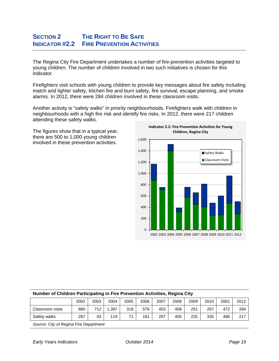# **SECTION 2 THE RIGHT TO BE SAFE INDICATOR #2.2 FIRE PREVENTION ACTIVITIES**

The Regina City Fire Department undertakes a number of fire-prevention activities targeted to young children. The number of children involved in two such initiatives is chosen for this indicator.

Firefighters visit schools with young children to provide key messages about fire safety including match and lighter safety, kitchen fire and burn safety, fire survival, escape planning, and smoke alarms. In 2012, there were 284 children involved in these classroom visits.

Another activity is "safety walks" in priority neighbourhoods. Firefighters walk with children in neighbourhoods with a high fire risk and identify fire risks. In 2012, there were 217 children attending these safety walks.

The figures show that in a typical year, there are 500 to 1,000 young children involved in these prevention activities.

![](_page_20_Figure_5.jpeg)

| Number of Children Participating in Fire Prevention Activities, Regina City |      |      |       |      |      |      |      |      |      |      |      |
|-----------------------------------------------------------------------------|------|------|-------|------|------|------|------|------|------|------|------|
|                                                                             | 2002 | 2003 | 2004  | 2005 | 2006 | 2007 | 2008 | 2009 | 2010 | 2001 | 2012 |
| Classroom visits                                                            | 880  | 712  | 1.397 | 318  | 576  | 453  | 408  | 251  | 267  | 472  | 284  |
| Safety walks                                                                | 287  | 43   | 119   | 71   | 181  | 207  | 405  | 225  | 335  | 486  | 217  |
|                                                                             |      |      |       |      |      |      |      |      |      |      |      |

#### **Number of Children Participating in Fire Prevention Activities, Regina City**

*Source: City of Regina Fire Department*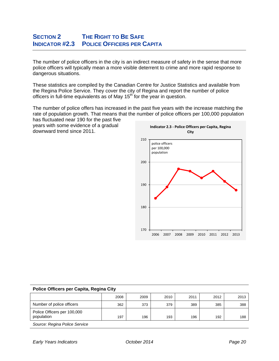# **SECTION 2 THE RIGHT TO BE SAFE INDICATOR #2.3 POLICE OFFICERS PER CAPITA**

The number of police officers in the city is an indirect measure of safety in the sense that more police officers will typically mean a more visible deterrent to crime and more rapid response to dangerous situations.

These statistics are compiled by the Canadian Centre for Justice Statistics and available from the Regina Police Service. They cover the city of Regina and report the number of police officers in full-time equivalents as of May  $15<sup>th</sup>$  for the year in question.

The number of police offers has increased in the past five years with the increase matching the rate of population growth. That means that the number of police officers per 100,000 population has fluctuated near 190 for the past five

years with some evidence of a gradual downward trend since 2011.

![](_page_21_Figure_5.jpeg)

| Police Officers per Capita, Regina City   |      |      |      |      |      |      |  |
|-------------------------------------------|------|------|------|------|------|------|--|
|                                           | 2008 | 2009 | 2010 | 2011 | 2012 | 2013 |  |
| Number of police officers                 | 362  | 373  | 379  | 389  | 385  | 388  |  |
| Police Officers per 100,000<br>population | 197  | 196  | 193  | 196  | 192  | 188  |  |
| Source: Pegina Police Senvice             |      |      |      |      |      |      |  |

*Source: Regina Police Service*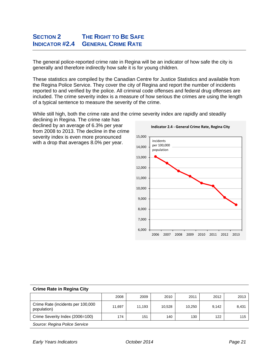# **SECTION 2 THE RIGHT TO BE SAFE INDICATOR #2.4 GENERAL CRIME RATE**

The general police-reported crime rate in Regina will be an indicator of how safe the city is generally and therefore indirectly how safe it is for young children.

These statistics are compiled by the Canadian Centre for Justice Statistics and available from the Regina Police Service. They cover the city of Regina and report the number of incidents reported to and verified by the police. All criminal code offenses and federal drug offenses are included. The crime severity index is a measure of how serious the crimes are using the length of a typical sentence to measure the severity of the crime.

> 6,000 7,000 8,000 9,000 10,000 11,000 12,000 13,000 14,000 15,000 2006 2007 2008 2009 2010 2011 2012 2013 **Indicator 2.4 ‐ General Crime Rate, Regina City** incidents per 100,000 population

While still high, both the crime rate and the crime severity index are rapidly and steadily

declining in Regina. The crime rate has declined by an average of 6.3% per year from 2008 to 2013. The decline in the crime severity index is even more pronounced with a drop that averages 8.0% per year.

| <b>Crime Rate in Regina City</b>                 |        |        |        |        |       |       |
|--------------------------------------------------|--------|--------|--------|--------|-------|-------|
|                                                  | 2008   | 2009   | 2010   | 2011   | 2012  | 2013  |
| Crime Rate (incidents per 100,000<br>population) | 11,697 | 11.193 | 10.528 | 10.250 | 9.142 | 8,431 |
| Crime Severity Index (2006=100)                  | 174    | 151    | 140    | 130    | 122   | 115   |
| Source: Regina Police Service                    |        |        |        |        |       |       |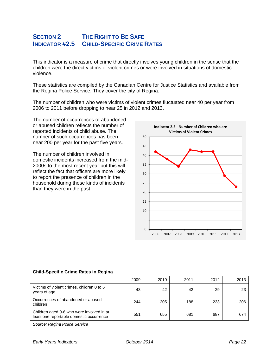# **SECTION 2 THE RIGHT TO BE SAFE INDICATOR #2.5 CHILD-SPECIFIC CRIME RATES**

This indicator is a measure of crime that directly involves young children in the sense that the children were the direct victims of violent crimes or were involved in situations of domestic violence.

These statistics are compiled by the Canadian Centre for Justice Statistics and available from the Regina Police Service. They cover the city of Regina.

The number of children who were victims of violent crimes fluctuated near 40 per year from 2006 to 2011 before dropping to near 25 in 2012 and 2013.

The number of occurrences of abandoned or abused children reflects the number of reported incidents of child abuse. The number of such occurrences has been near 200 per year for the past five years.

The number of children involved in domestic incidents increased from the mid-2000s to the most recent year but this will reflect the fact that officers are more likely to report the presence of children in the household during these kinds of incidents than they were in the past.

![](_page_23_Figure_6.jpeg)

| Child-Opechild Chillie Rates in Regina                                                |      |      |      |      |      |
|---------------------------------------------------------------------------------------|------|------|------|------|------|
|                                                                                       | 2009 | 2010 | 2011 | 2012 | 2013 |
| Victims of violent crimes, children 0 to 6<br>years of age                            | 43   | 42   | 42   | 29   | 23   |
| Occurrences of abandoned or abused<br>children                                        | 244  | 205  | 188  | 233  | 206  |
| Children aged 0-6 who were involved in at<br>least one reportable domestic occurrence | 551  | 655  | 681  | 687  | 674  |
| Source: Regina Police Service                                                         |      |      |      |      |      |

#### **Child-Specific Crime Rates in Regina**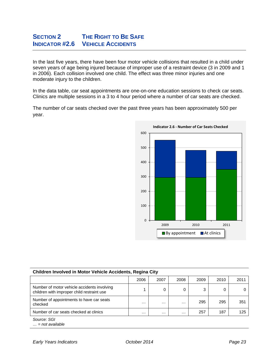# **SECTION 2 THE RIGHT TO BE SAFE INDICATOR #2.6 VEHICLE ACCIDENTS**

In the last five years, there have been four motor vehicle collisions that resulted in a child under seven years of age being injured because of improper use of a restraint device (3 in 2009 and 1 in 2006). Each collision involved one child. The effect was three minor injuries and one moderate injury to the children.

In the data table, car seat appointments are one-on-one education sessions to check car seats. Clinics are multiple sessions in a 3 to 4 hour period where a number of car seats are checked.

The number of car seats checked over the past three years has been approximately 500 per year.

![](_page_24_Figure_4.jpeg)

| Children Involved in Motor Vehicle Accidents, Regina City                                 |          |          |          |      |      |      |  |  |
|-------------------------------------------------------------------------------------------|----------|----------|----------|------|------|------|--|--|
|                                                                                           | 2006     | 2007     | 2008     | 2009 | 2010 | 2011 |  |  |
| Number of motor vehicle accidents involving<br>children with improper child restraint use |          | 0        | 0        | 3    | 0    |      |  |  |
| Number of appointments to have car seats<br>checked                                       | $\cdots$ | $\cdots$ | $\cdots$ | 295  | 295  | 351  |  |  |
| Number of car seats checked at clinics                                                    | $\cdots$ | $\cdots$ | $\cdots$ | 257  | 187  | 125  |  |  |
| Source: SGI<br>$\ldots$ = not available                                                   |          |          |          |      |      |      |  |  |

#### **Children Involved in Motor Vehicle Accidents, Regina City**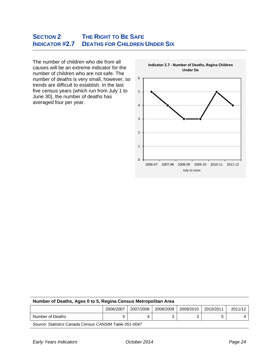# **SECTION 2 THE RIGHT TO BE SAFE INDICATOR #2.7 DEATHS FOR CHILDREN UNDER SIX**

The number of children who die from all causes will be an extreme indicator for the number of children who are not safe. The number of deaths is very small, however, so trends are difficult to establish. In the last five census years (which run from July 1 to June 30), the number of deaths has averaged four per year.

![](_page_25_Figure_2.jpeg)

|                  | 2006/2007 | 2007/2008 | 2008/2009 | 2009/2010 | 2010/2011 | 2011/12 |
|------------------|-----------|-----------|-----------|-----------|-----------|---------|
| Number of Deaths | ັ         |           |           |           | -<br>ັ    |         |

*Source: Statistics Canada Census CANSIM Table 051-0047*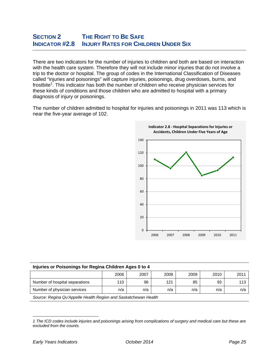#### **SECTION 2 THE RIGHT TO BE SAFE INDICATOR #2.8 INJURY RATES FOR CHILDREN UNDER SIX**

There are two indicators for the number of injuries to children and both are based on interaction with the health care system. Therefore they will not include minor injuries that do not involve a trip to the doctor or hospital. The group of codes in the International Classification of Diseases called "injuries and poisonings" will capture injuries, poisonings, drug overdoses, burns, and frostbite<sup>1</sup>. This indicator has both the number of children who receive physician services for these kinds of conditions and those children who are admitted to hospital with a primary diagnosis of injury or poisonings.

The number of children admitted to hospital for injuries and poisonings in 2011 was 113 which is near the five-year average of 102.

![](_page_26_Figure_3.jpeg)

| Injuries or Poisonings for Regina Children Ages 0 to 4                 |      |      |      |      |      |      |  |
|------------------------------------------------------------------------|------|------|------|------|------|------|--|
|                                                                        | 2006 | 2007 | 2008 | 2009 | 2010 | 2011 |  |
| Number of hospital separations                                         | 110  | 96   | 121  | 85   | 93   | 113  |  |
| Number of physician services<br>n/a<br>n/a<br>n/a<br>n/a<br>n/a<br>n/a |      |      |      |      |      |      |  |
| Source: Regina Qu'Appelle Health Region and Saskatchewan Health        |      |      |      |      |      |      |  |

 *1 The ICD codes include injuries and poisonings arising from complications of surgery and medical care but these are excluded from the counts.*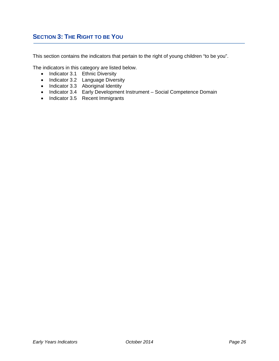# **SECTION 3: THE RIGHT TO BE YOU**

This section contains the indicators that pertain to the right of young children "to be you".

The indicators in this category are listed below.

- Indicator 3.1 Ethnic Diversity
- Indicator 3.2 Language Diversity
- Indicator 3.3 Aboriginal Identity
- Indicator 3.4 Early Development Instrument Social Competence Domain
- Indicator 3.5 Recent Immigrants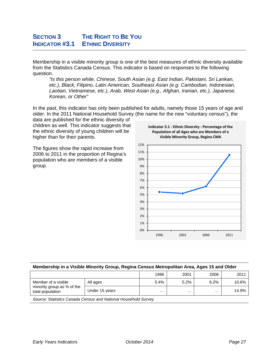# **SECTION 3** THE RIGHT TO BE YOU **INDICATOR #3.1 ETHNIC DIVERSITY**

Membership in a visible minority group is one of the best measures of ethnic diversity available from the Statistics Canada Census. This indicator is based on responses to the following question.

*"Is this person white, Chinese, South Asian (e.g. East Indian, Pakistani, Sri Lankan, etc.), Black, Filipino, Latin American, Southeast Asian (e.g. Cambodian, Indonesian, Laotian, Vietnamese, etc.), Arab, West Asian (e.g., Afghan, Iranian, etc.), Japanese, Korean, or Other"* 

In the past, this indicator has only been published for adults, namely those 15 years of age and older. In the 2011 National Household Survey (the name for the new "voluntary census"), the

data are published for the ethnic diversity of children as well. This indicator suggests that the ethnic diversity of young children will be higher than for their parents.

The figures show the rapid increase from 2006 to 2011 in the proportion of Regina's population who are members of a visible group.

![](_page_28_Figure_6.jpeg)

**Indicator 3.1 ‐ Ethnic Diversity ‐ Percentage of the Population of all Ages who are Members of a**

| Membership in a Visible Minority Group, Regina Census Metropolitan Area, Ages 15 and Older |                |          |          |          |       |  |  |  |
|--------------------------------------------------------------------------------------------|----------------|----------|----------|----------|-------|--|--|--|
|                                                                                            |                | 1996     | 2001     | 2006     | 2011  |  |  |  |
| Member of a visible<br>minority group as % of the<br>total population                      | All ages       | 5.4%     | 5.2%     | 6.2%     | 10.6% |  |  |  |
|                                                                                            | Under 15 years | $\cdots$ | $\cdots$ | $\cdots$ | 14.9% |  |  |  |
| Course Chataline Console Consus and National Household Cumpsi                              |                |          |          |          |       |  |  |  |

*Source: Statistics Canada Census and National Household Survey*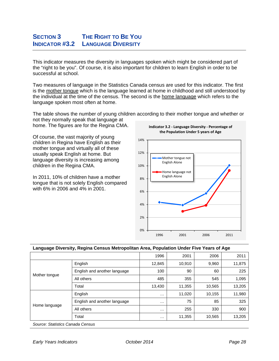# **SECTION 3** THE RIGHT TO BE YOU **INDICATOR #3.2 LANGUAGE DIVERSITY**

This indicator measures the diversity in languages spoken which might be considered part of the "right to be you". Of course, it is also important for children to learn English in order to be successful at school.

Two measures of language in the Statistics Canada census are used for this indicator. The first is the mother tongue which is the language learned at home in childhood and still understood by the individual at the time of the census. The second is the home language which refers to the language spoken most often at home.

The table shows the number of young children according to their mother tongue and whether or not they normally speak that language at

home. The figures are for the Regina CMA.

Of course, the vast majority of young children in Regina have English as their mother tongue and virtually all of these usually speak English at home. But language diversity is increasing among children in the Regina CMA.

In 2011, 10% of children have a mother tongue that is not solely English compared with 6% in 2006 and 4% in 2001.

![](_page_29_Figure_7.jpeg)

**Indicator 3.2 ‐ Language Diversity ‐ Percentage of**

# **Language Diversity, Regina Census Metropolitan Area, Population Under Five Years of Age**

| ັ                                                                               | . .<br>. .                   |          |        |        | ັ      |
|---------------------------------------------------------------------------------|------------------------------|----------|--------|--------|--------|
|                                                                                 |                              | 1996     | 2001   | 2006   | 2011   |
|                                                                                 | English                      | 12,845   | 10,910 | 9,960  | 11,875 |
|                                                                                 | English and another language | 100      | 90     | 60     | 225    |
| Mother tongue                                                                   | All others                   | 485      | 355    | 545    | 1,095  |
|                                                                                 | Total                        | 13,430   | 11,355 | 10,565 | 13,205 |
| Home language                                                                   | English                      | $\cdots$ | 11,020 | 10,155 | 11,980 |
|                                                                                 | English and another language | $\cdots$ | 75     | 85     | 325    |
|                                                                                 | All others                   | $\cdots$ | 255    | 330    | 900    |
|                                                                                 | Total                        | $\cdots$ | 11,355 | 10,565 | 13,205 |
| $O_{2}$ and $O_{3}$ and $O_{4}$ and $O_{4}$ and $O_{5}$ and $O_{6}$ and $O_{7}$ |                              |          |        |        |        |

*Source: Statistics Canada Census*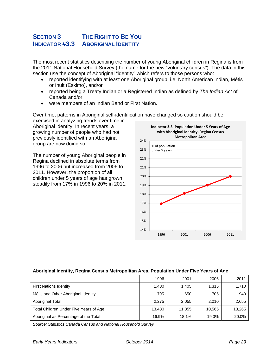# **SECTION 3** THE RIGHT TO BE YOU **INDICATOR #3.3 ABORIGINAL IDENTITY**

The most recent statistics describing the number of young Aboriginal children in Regina is from the 2011 National Household Survey (the name for the new "voluntary census"). The data in this section use the concept of Aboriginal "identity" which refers to those persons who:

- reported identifying with at least one Aboriginal group, i.e. North American Indian, Métis or Inuit (Eskimo), and/or
- reported being a Treaty Indian or a Registered Indian as defined by *The Indian Act* of Canada and/or
- were members of an Indian Band or First Nation.

Over time, patterns in Aboriginal self-identification have changed so caution should be exercised in analyzing trends over time in

Aboriginal identity. In recent years, a growing number of people who had not previously identified with an Aboriginal group are now doing so.

The number of young Aboriginal people in Regina declined in absolute terms from 1996 to 2006 but increased from 2006 to 2011. However, the proportion of all children under 5 years of age has grown steadily from 17% in 1996 to 20% in 2011.

![](_page_30_Figure_8.jpeg)

#### **Aboriginal Identity, Regina Census Metropolitan Area, Population Under Five Years of Age**

|                                                                | 1996   | 2001   | 2006   | 2011   |  |  |  |
|----------------------------------------------------------------|--------|--------|--------|--------|--|--|--|
| <b>First Nations Identity</b>                                  | 1,480  | 1,405  | 1.315  | 1,710  |  |  |  |
| Métis and Other Aboriginal Identity                            | 795    | 650    | 705    | 940    |  |  |  |
| <b>Aboriginal Total</b>                                        | 2,275  | 2.055  | 2.010  | 2,655  |  |  |  |
| Total Children Under Five Years of Age                         | 13.430 | 11.355 | 10.565 | 13,265 |  |  |  |
| Aboriginal as Percentage of the Total                          | 16.9%  | 18.1%  | 19.0%  | 20.0%  |  |  |  |
| Source: Statistics Canada Census and National Household Survey |        |        |        |        |  |  |  |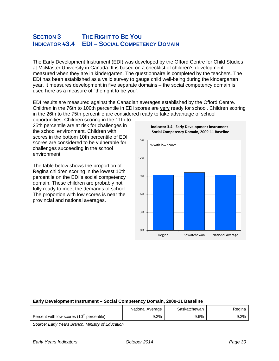#### **SECTION 3** THE RIGHT TO BE YOU **INDICATOR #3.4 EDI – SOCIAL COMPETENCY DOMAIN**

The Early Development Instrument (EDI) was developed by the Offord Centre for Child Studies at McMaster University in Canada. It is based on a checklist of children's development measured when they are in kindergarten. The questionnaire is completed by the teachers. The EDI has been established as a valid survey to gauge child well-being during the kindergarten year. It measures development in five separate domains – the social competency domain is used here as a measure of "the right to be you".

EDI results are measured against the Canadian averages established by the Offord Centre. Children in the 76th to 100th percentile in EDI scores are very ready for school. Children scoring in the 26th to the 75th percentile are considered ready to take advantage of school

opportunities. Children scoring in the 11th to 25th percentile are at risk for challenges in the school environment. Children with scores in the bottom 10th percentile of EDI scores are considered to be vulnerable for challenges succeeding in the school environment.

The table below shows the proportion of Regina children scoring in the lowest 10th percentile on the EDI's social competency domain. These children are probably not fully ready to meet the demands of school. The proportion with low scores is near the provincial and national averages.

![](_page_31_Figure_5.jpeg)

#### **Early Development Instrument – Social Competency Domain, 2009-11 Baseline**

|                                                   | National Average | Saskatchewan | Regina |
|---------------------------------------------------|------------------|--------------|--------|
| Percent with low scores $(10th$ percentile)       | $9.2\%$          | 9.6%         | 9.2%   |
| Source: Early Years Branch, Ministry of Education |                  |              |        |

*Early Years Indicators October 2014 Page 30*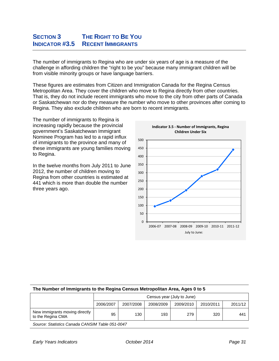# **SECTION 3** THE RIGHT TO BE YOU **INDICATOR #3.5 RECENT IMMIGRANTS**

The number of immigrants to Regina who are under six years of age is a measure of the challenge in affording children the "right to be you" because many immigrant children will be from visible minority groups or have language barriers.

These figures are estimates from Citizen and Immigration Canada for the Regina Census Metropolitan Area. They cover the children who move to Regina directly from other countries. That is, they do not include recent immigrants who move to the city from other parts of Canada or Saskatchewan nor do they measure the number who move to other provinces after coming to Regina. They also exclude children who are born to recent immigrants.

The number of immigrants to Regina is increasing rapidly because the provincial government's Saskatchewan Immigrant Nominee Program has led to a rapid influx of immigrants to the province and many of these immigrants are young families moving to Regina.

In the twelve months from July 2011 to June 2012, the number of children moving to Regina from other countries is estimated at 441 which is more than double the number three years ago.

![](_page_32_Figure_5.jpeg)

| The Number of Immigrants to the Regina Census Metropolitan Area, Ages 0 to 5 |                            |           |           |           |           |         |
|------------------------------------------------------------------------------|----------------------------|-----------|-----------|-----------|-----------|---------|
|                                                                              | Census year (July to June) |           |           |           |           |         |
|                                                                              | 2006/2007                  | 2007/2008 | 2008/2009 | 2009/2010 | 2010/2011 | 2011/12 |
| New immigrants moving directly<br>to the Regina CMA                          | 95                         | 130       | 193       | 279       | 320       | 441     |
| $\sim$<br><u>.</u>                                                           |                            |           |           |           |           |         |

*Source: Statistics Canada CANSIM Table 051-0047*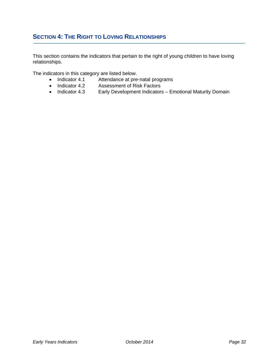# **SECTION 4: THE RIGHT TO LOVING RELATIONSHIPS**

This section contains the indicators that pertain to the right of young children to have loving relationships.

The indicators in this category are listed below.

- Indicator 4.1 Attendance at pre-natal programs
- Indicator 4.2 Assessment of Risk Factors<br>• Indicator 4.3 Early Development Indicators
- Early Development Indicators Emotional Maturity Domain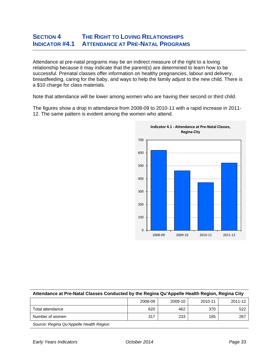#### **SECTION 4 THE RIGHT TO LOVING RELATIONSHIPS INDICATOR #4.1 ATTENDANCE AT PRE-NATAL PROGRAMS**

Attendance at pre-natal programs may be an indirect measure of the right to a loving relationship because it may indicate that the parent(s) are determined to learn how to be successful. Prenatal classes offer information on healthy pregnancies, labour and delivery, breastfeeding, caring for the baby, and ways to help the family adjust to the new child. There is a \$10 charge for class materials.

Note that attendance will be lower among women who are having their second or third child.

The figures show a drop in attendance from 2008-09 to 2010-11 with a rapid increase in 2011- 12. The same pattern is evident among the women who attend.

![](_page_34_Figure_4.jpeg)

| Attendance at Pre-Natal Classes Conducted by the Regina Qu'Appelle Health Region, Regina City |         |         |         |         |  |
|-----------------------------------------------------------------------------------------------|---------|---------|---------|---------|--|
|                                                                                               | 2008-09 | 2009-10 | 2010-11 | 2011-12 |  |
| Total attendance                                                                              | 620     | 462     | 370     | 522     |  |
| Number of women                                                                               | 317     | 233     | 185     | 267     |  |
| Source: Regina Qu'Appelle Health Region                                                       |         |         |         |         |  |

*Early Years Indicators October 2014 Page 33*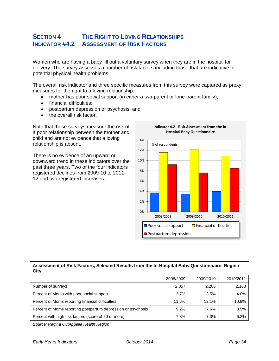### **SECTION 4 THE RIGHT TO LOVING RELATIONSHIPS INDICATOR #4.2 ASSESSMENT OF RISK FACTORS**

Women who are having a baby fill out a voluntary survey when they are in the hospital for delivery. The survey assesses a number of risk factors including those that are indicative of potential physical health problems.

The overall risk indicator and three specific measures from this survey were captured as proxy measures for the right to a loving relationship:

- mother has poor social support (in either a two-parent or lone-parent family);
- financial difficulties;
- postpartum depression or psychosis; and
- the overall risk factor.

Note that these surveys measure the risk of a poor relationship between the mother and child and are not evidence that a loving relationship is absent.

There is no evidence of an upward or downward trend in these indicators over the past three years. Two of the four indicators registered declines from 2009-10 to 2011- 12 and two registered increases.

![](_page_35_Figure_9.jpeg)

**Indicator 4.2 ‐ Risk Assessment from the In‐**

#### **Assessment of Risk Factors, Selected Results from the In-Hospital Baby Questionnaire, Regina City**

|                                                              | 2008/2009 | 2009/2010 | 2010/2011 |
|--------------------------------------------------------------|-----------|-----------|-----------|
| Number of surveys                                            | 2,357     | 2,208     | 2,163     |
| Percent of Moms with poor social support                     | 3.7%      | 3.5%      | 4.0%      |
| Percent of Moms reporting financial difficulties             | 11.6%     | 12.1%     | 10.9%     |
| Percent of Moms reporting postpartum depression or psychosis | 9.2%      | 7.6%      | 8.5%      |
| Percent with high risk factors (score of 20 or more)         | 7.3%      | 7.3%      | 6.2%      |
| Source: Regina Qu'Appelle Health Region                      |           |           |           |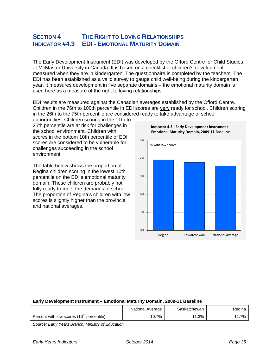# **SECTION 4 THE RIGHT TO LOVING RELATIONSHIPS INDICATOR #4.3 EDI - EMOTIONAL MATURITY DOMAIN**

The Early Development Instrument (EDI) was developed by the Offord Centre for Child Studies at McMaster University in Canada. It is based on a checklist of children's development measured when they are in kindergarten. The questionnaire is completed by the teachers. The EDI has been established as a valid survey to gauge child well-being during the kindergarten year. It measures development in five separate domains – the emotional maturity domain is used here as a measure of the right to loving relationships.

EDI results are measured against the Canadian averages established by the Offord Centre. Children in the 76th to 100th percentile in EDI scores are very ready for school. Children scoring in the 26th to the 75th percentile are considered ready to take advantage of school

opportunities. Children scoring in the 11th to 25th percentile are at risk for challenges in the school environment. Children with scores in the bottom 10th percentile of EDI scores are considered to be vulnerable for challenges succeeding in the school environment.

The table below shows the proportion of Regina children scoring in the lowest 10th percentile on the EDI's emotional maturity domain. These children are probably not fully ready to meet the demands of school. The proportion of Regina's children with low scores is slightly higher than the provincial and national averages.

![](_page_36_Figure_5.jpeg)

**Indicator 4.3 ‐ Early Development Instrument ‐**

#### **Early Development Instrument – Emotional Maturity Domain, 2009-11 Baseline**

|                                                   | National Average | Saskatchewan | Regina |
|---------------------------------------------------|------------------|--------------|--------|
| Percent with low scores $(10th$ percentile)       | 10.7%            | 11.3%        | 11.7%  |
| Source: Early Years Branch, Ministry of Education |                  |              |        |

*Early Years Indicators October 2014 Page 35*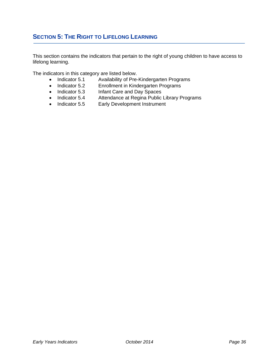# **SECTION 5: THE RIGHT TO LIFELONG LEARNING**

This section contains the indicators that pertain to the right of young children to have access to lifelong learning.

The indicators in this category are listed below.

- Indicator 5.1 Availability of Pre-Kindergarten Programs
- Indicator 5.2 Enrollment in Kindergarten Programs<br>
Indicator 5.3 Infant Care and Day Spaces<br>
Indicator 5.5 Early Development Instrument
- Infant Care and Day Spaces
- Attendance at Regina Public Library Programs
- Early Development Instrument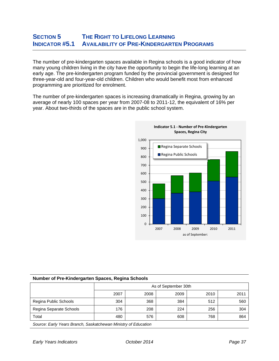### **SECTION 5 THE RIGHT TO LIFELONG LEARNING INDICATOR #5.1 AVAILABILITY OF PRE-KINDERGARTEN PROGRAMS**

The number of pre-kindergarten spaces available in Regina schools is a good indicator of how many young children living in the city have the opportunity to begin the life-long learning at an early age. The pre-kindergarten program funded by the provincial government is designed for three-year-old and four-year-old children. Children who would benefit most from enhanced programming are prioritized for enrolment.

The number of pre-kindergarten spaces is increasing dramatically in Regina, growing by an average of nearly 100 spaces per year from 2007-08 to 2011-12, the equivalent of 16% per year. About two-thirds of the spaces are in the public school system.

![](_page_38_Figure_3.jpeg)

#### **Number of Pre-Kindergarten Spaces, Regina Schools**

|                         | As of September 30th |      |      |      |      |  |  |  |  |  |
|-------------------------|----------------------|------|------|------|------|--|--|--|--|--|
|                         | 2007                 | 2008 | 2009 | 2010 | 2011 |  |  |  |  |  |
| Regina Public Schools   | 304                  | 368  | 384  | 512  | 560  |  |  |  |  |  |
| Regina Separate Schools | 176                  | 208  | 224  | 256  | 304  |  |  |  |  |  |
| Total                   | 480                  | 576  | 608  | 768  | 864  |  |  |  |  |  |
|                         |                      |      |      |      |      |  |  |  |  |  |

*Source: Early Years Branch, Saskatchewan Ministry of Education*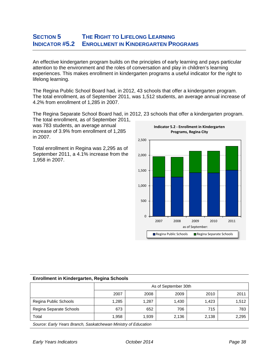#### **SECTION 5 THE RIGHT TO LIFELONG LEARNING INDICATOR #5.2 ENROLLMENT IN KINDERGARTEN PROGRAMS**

An effective kindergarten program builds on the principles of early learning and pays particular attention to the environment and the roles of conversation and play in children's learning experiences. This makes enrollment in kindergarten programs a useful indicator for the right to lifelong learning.

The Regina Public School Board had, in 2012, 43 schools that offer a kindergarten program. The total enrollment, as of September 2011, was 1,512 students, an average annual increase of 4.2% from enrollment of 1,285 in 2007.

The Regina Separate School Board had, in 2012, 23 schools that offer a kindergarten program.

The total enrollment, as of September 2011, was 783 students, an average annual increase of 3.9% from enrollment of 1,285 in 2007.

Total enrollment in Regina was 2,295 as of September 2011, a 4.1% increase from the 1,958 in 2007.

![](_page_39_Figure_6.jpeg)

#### **Enrollment in Kindergarten, Regina Schools**

|                         | As of September 30th |       |       |       |       |
|-------------------------|----------------------|-------|-------|-------|-------|
|                         | 2007                 | 2008  | 2009  | 2010  | 2011  |
| Regina Public Schools   | 1,285                | 1,287 | 1,430 | 1.423 | 1,512 |
| Regina Separate Schools | 673                  | 652   | 706   | 715   | 783   |
| Total                   | 1.958                | 1,939 | 2,136 | 2,138 | 2,295 |
|                         |                      |       |       |       |       |

*Source: Early Years Branch, Saskatchewan Ministry of Education*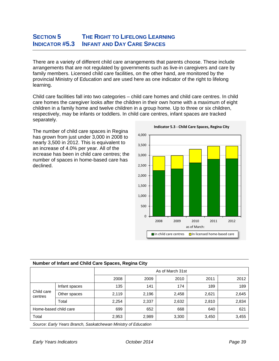# **SECTION 5 THE RIGHT TO LIFELONG LEARNING INDICATOR #5.3 INFANT AND DAY CARE SPACES**

There are a variety of different child care arrangements that parents choose. These include arrangements that are not regulated by governments such as live-in caregivers and care by family members. Licensed child care facilities, on the other hand, are monitored by the provincial Ministry of Education and are used here as one indicator of the right to lifelong learning.

Child care facilities fall into two categories – child care homes and child care centres. In child care homes the caregiver looks after the children in their own home with a maximum of eight children in a family home and twelve children in a group home. Up to three or six children, respectively, may be infants or toddlers. In child care centres, infant spaces are tracked separately.

The number of child care spaces in Regina has grown from just under 3,000 in 2008 to nearly 3,500 in 2012. This is equivalent to an increase of 4.0% per year. All of the increase has been in child care centres; the number of spaces in home-based care has declined.

![](_page_40_Figure_4.jpeg)

| Number of Infant and Child Care Spaces, Regina City |                                |                  |                         |       |       |       |  |  |
|-----------------------------------------------------|--------------------------------|------------------|-------------------------|-------|-------|-------|--|--|
|                                                     |                                | As of March 31st |                         |       |       |       |  |  |
|                                                     |                                | 2008             | 2009                    | 2010  | 2011  | 2012  |  |  |
| Child care<br>centres                               | Infant spaces                  | 135              | 141                     | 174   | 189   | 189   |  |  |
|                                                     | Other spaces                   | 2,119            | 2,196                   | 2,458 | 2,621 | 2,645 |  |  |
|                                                     | Total                          | 2,254            | 2,337                   | 2,632 | 2,810 | 2,834 |  |  |
| Home-based child care                               |                                | 699              | 652                     | 668   | 640   | 621   |  |  |
| Total                                               |                                | 2,953            | 2,989                   | 3,300 | 3,450 | 3,455 |  |  |
| $\sim$                                              | $\cdots$<br>$\sim$<br>$\cdots$ |                  | $\cdot$ $\cdot$ $\cdot$ |       |       |       |  |  |

*Source: Early Years Branch, Saskatchewan Ministry of Education*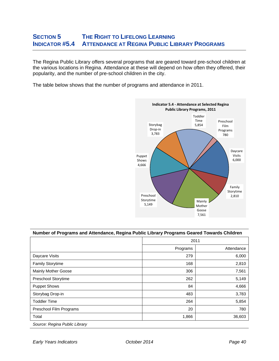### **SECTION 5 THE RIGHT TO LIFELONG LEARNING INDICATOR #5.4 ATTENDANCE AT REGINA PUBLIC LIBRARY PROGRAMS**

The Regina Public Library offers several programs that are geared toward pre-school children at the various locations in Regina. Attendance at these will depend on how often they offered, their popularity, and the number of pre-school children in the city.

The table below shows that the number of programs and attendance in 2011.

![](_page_41_Figure_3.jpeg)

| Number of Programs and Attendance, Regina Public Library Programs Geared Towards Children |          |            |  |  |
|-------------------------------------------------------------------------------------------|----------|------------|--|--|
|                                                                                           | 2011     |            |  |  |
|                                                                                           | Programs | Attendance |  |  |
| Daycare Visits                                                                            | 279      | 6,000      |  |  |
| <b>Family Storytime</b>                                                                   | 168      | 2,810      |  |  |
| Mainly Mother Goose                                                                       | 306      | 7,561      |  |  |
| Preschool Storytime                                                                       | 262      | 5,149      |  |  |
| <b>Puppet Shows</b>                                                                       | 84       | 4,666      |  |  |
| Storybag Drop-in                                                                          | 483      | 3,783      |  |  |
| <b>Toddler Time</b>                                                                       | 264      | 5,854      |  |  |
| Preschool Film Programs                                                                   | 20       | 780        |  |  |
| Total                                                                                     | 1,866    | 36,603     |  |  |
| Source: Regina Public Library                                                             |          |            |  |  |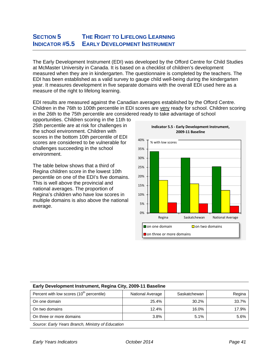# **SECTION 5 THE RIGHT TO LIFELONG LEARNING INDICATOR #5.5 EARLY DEVELOPMENT INSTRUMENT**

The Early Development Instrument (EDI) was developed by the Offord Centre for Child Studies at McMaster University in Canada. It is based on a checklist of children's development measured when they are in kindergarten. The questionnaire is completed by the teachers. The EDI has been established as a valid survey to gauge child well-being during the kindergarten year. It measures development in five separate domains with the overall EDI used here as a measure of the right to lifelong learning.

EDI results are measured against the Canadian averages established by the Offord Centre. Children in the 76th to 100th percentile in EDI scores are very ready for school. Children scoring in the 26th to the 75th percentile are considered ready to take advantage of school

opportunities. Children scoring in the 11th to 25th percentile are at risk for challenges in the school environment. Children with scores in the bottom 10th percentile of EDI scores are considered to be vulnerable for challenges succeeding in the school environment.

The table below shows that a third of Regina children score in the lowest 10th percentile on one of the EDI's five domains. This is well above the provincial and national averages. The proportion of Regina's children who have low scores in multiple domains is also above the national average.

![](_page_42_Figure_5.jpeg)

**Indicator 5.5 ‐ Early Development Instrument, 2009‐11 Baseline**

#### **Early Development Instrument, Regina City, 2009-11 Baseline**

| Percent with low scores (10 <sup>th</sup> percentile) | National Average | Saskatchewan | Regina |
|-------------------------------------------------------|------------------|--------------|--------|
| On one domain                                         | 25.4%            | 30.2%        | 33.7%  |
| On two domains                                        | 12.4%            | 16.0%        | 17.9%  |
| On three or more domains                              | 3.8%             | 5.1%         | 5.6%   |
| Source: Farly Years Branch, Ministry of Education     |                  |              |        |

*Source: Early Years Branch, Ministry of Education*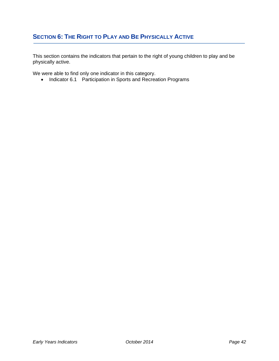# **SECTION 6: THE RIGHT TO PLAY AND BE PHYSICALLY ACTIVE**

This section contains the indicators that pertain to the right of young children to play and be physically active.

We were able to find only one indicator in this category.

• Indicator 6.1 Participation in Sports and Recreation Programs